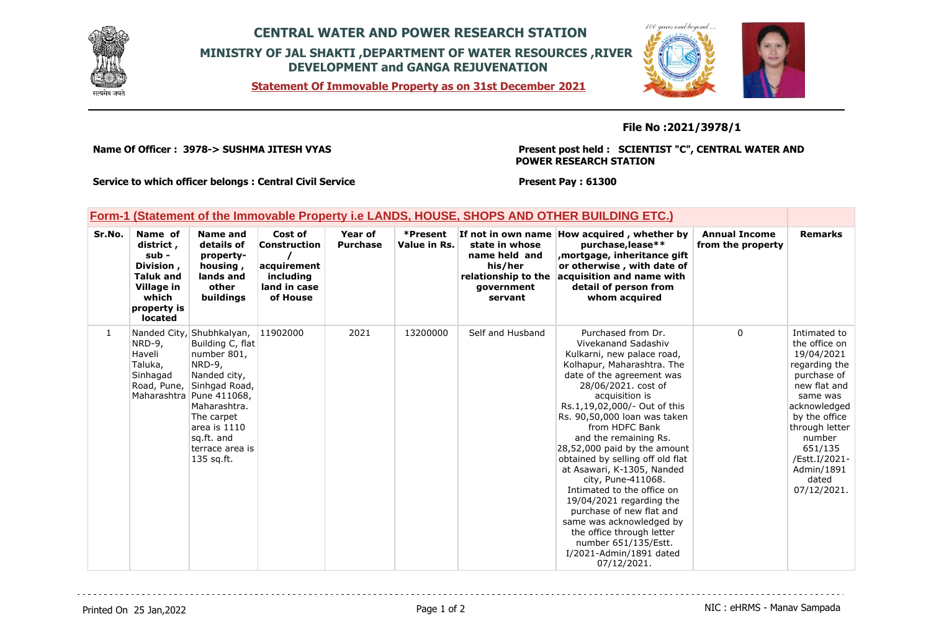

## **CENTRAL WATER AND POWER RESEARCH STATION MINISTRY OF JAL SHAKTI ,DEPARTMENT OF WATER RESOURCES ,RIVER DEVELOPMENT and GANGA REJUVENATION**





## **File No :2021/3978/1**

**Name Of Officer : 3978-> SUSHMA JITESH VYAS** 

**Present post held : SCIENTIST "C", CENTRAL WATER AND POWER RESEARCH STATION**

**Service to which officer belongs : Central Civil Service**

**Present Pay : 61300**

|        | <u>Form-1 (Statement of the Immovable Property i.e LANDS, HOUSE, SHOPS AND OTHER BUILDING ETC.)</u>                    |                                                                                                                                                                                                                                                 |                                                                                        |                            |                          |                                                                                            |                                                                                                                                                                                                                                                                                                                                                                                                                                                                                                                                                                                                                                 |                                           |                                                                                                                                                                                                                                        |
|--------|------------------------------------------------------------------------------------------------------------------------|-------------------------------------------------------------------------------------------------------------------------------------------------------------------------------------------------------------------------------------------------|----------------------------------------------------------------------------------------|----------------------------|--------------------------|--------------------------------------------------------------------------------------------|---------------------------------------------------------------------------------------------------------------------------------------------------------------------------------------------------------------------------------------------------------------------------------------------------------------------------------------------------------------------------------------------------------------------------------------------------------------------------------------------------------------------------------------------------------------------------------------------------------------------------------|-------------------------------------------|----------------------------------------------------------------------------------------------------------------------------------------------------------------------------------------------------------------------------------------|
| Sr.No. | Name of<br>district,<br>sub -<br>Division,<br><b>Taluk and</b><br>Village in<br>which<br>property is<br><b>located</b> | <b>Name and</b><br>details of<br>property-<br>housing,<br>lands and<br>other<br>buildings                                                                                                                                                       | Cost of<br><b>Construction</b><br>acquirement<br>including<br>land in case<br>of House | Year of<br><b>Purchase</b> | *Present<br>Value in Rs. | state in whose<br>name held and<br>his/her<br>relationship to the<br>qovernment<br>servant | If not in own name How acquired, whether by<br>purchase, lease**<br>mortgage, inheritance gift,<br>or otherwise, with date of<br>acquisition and name with<br>detail of person from<br>whom acquired                                                                                                                                                                                                                                                                                                                                                                                                                            | <b>Annual Income</b><br>from the property | <b>Remarks</b>                                                                                                                                                                                                                         |
| 1      | NRD-9,<br>Haveli<br>Taluka,<br>Sinhagad                                                                                | Nanded City, Shubhkalyan,<br>Building C, flat<br>number 801,<br>$NRD-9$ ,<br>Nanded city,<br>Road, Pune, Sinhgad Road,<br>Maharashtra Pune 411068,<br>Maharashtra.<br>The carpet<br>area is 1110<br>sq.ft. and<br>terrace area is<br>135 sq.ft. | 11902000                                                                               | 2021                       | 13200000                 | Self and Husband                                                                           | Purchased from Dr.<br>Vivekanand Sadashiv<br>Kulkarni, new palace road,<br>Kolhapur, Maharashtra. The<br>date of the agreement was<br>28/06/2021. cost of<br>acquisition is<br>Rs.1,19,02,000/- Out of this<br>Rs. 90,50,000 loan was taken<br>from HDFC Bank<br>and the remaining Rs.<br>28,52,000 paid by the amount<br>obtained by selling off old flat<br>at Asawari, K-1305, Nanded<br>city, Pune-411068.<br>Intimated to the office on<br>19/04/2021 regarding the<br>purchase of new flat and<br>same was acknowledged by<br>the office through letter<br>number 651/135/Estt.<br>I/2021-Admin/1891 dated<br>07/12/2021. | 0                                         | Intimated to<br>the office on<br>19/04/2021<br>regarding the<br>purchase of<br>new flat and<br>same was<br>acknowledged<br>by the office<br>through letter<br>number<br>651/135<br>/Estt.I/2021-<br>Admin/1891<br>dated<br>07/12/2021. |